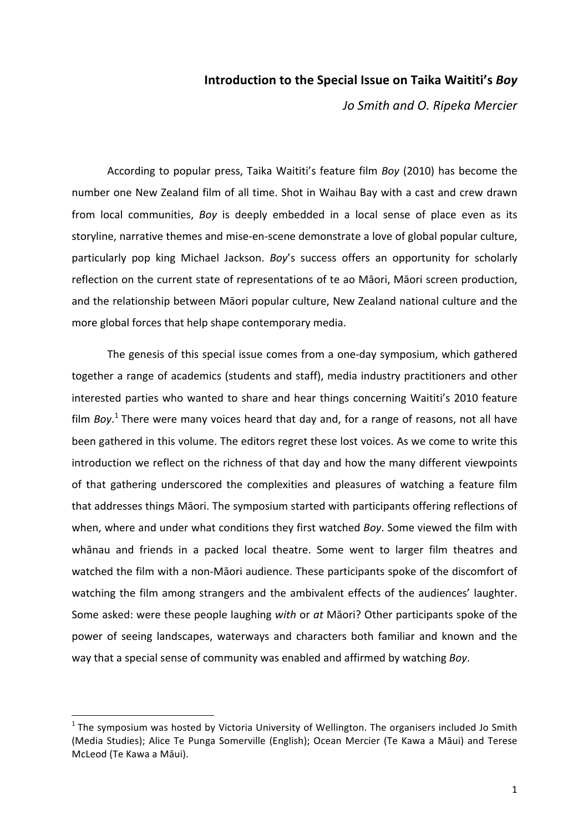## **Introduction to the Special Issue on Taika Waititi's** *Boy*

*Jo Smith and O. Ripeka Mercier*

According to popular press, Taika Waititi's feature film *Boy* (2010) has become the number one New Zealand film of all time. Shot in Waihau Bay with a cast and crew drawn from local communities, *Boy* is deeply embedded in a local sense of place even as its storyline, narrative themes and mise-en-scene demonstrate a love of global popular culture, particularly pop king Michael Jackson. *Boy's* success offers an opportunity for scholarly reflection on the current state of representations of te ao Māori, Māori screen production, and the relationship between Māori popular culture, New Zealand national culture and the more global forces that help shape contemporary media.

The genesis of this special issue comes from a one-day symposium, which gathered together a range of academics (students and staff), media industry practitioners and other interested parties who wanted to share and hear things concerning Waititi's 2010 feature film *Boy*.<sup>1</sup> There were many voices heard that day and, for a range of reasons, not all have been gathered in this volume. The editors regret these lost voices. As we come to write this introduction we reflect on the richness of that day and how the many different viewpoints of that gathering underscored the complexities and pleasures of watching a feature film that addresses things Māori. The symposium started with participants offering reflections of when, where and under what conditions they first watched *Boy*. Some viewed the film with whānau and friends in a packed local theatre. Some went to larger film theatres and watched the film with a non-Māori audience. These participants spoke of the discomfort of watching the film among strangers and the ambivalent effects of the audiences' laughter. Some asked: were these people laughing with or at Māori? Other participants spoke of the power of seeing landscapes, waterways and characters both familiar and known and the way that a special sense of community was enabled and affirmed by watching *Boy*.

 $1$  The symposium was hosted by Victoria University of Wellington. The organisers included Jo Smith (Media Studies); Alice Te Punga Somerville (English); Ocean Mercier (Te Kawa a Māui) and Terese McLeod (Te Kawa a Māui).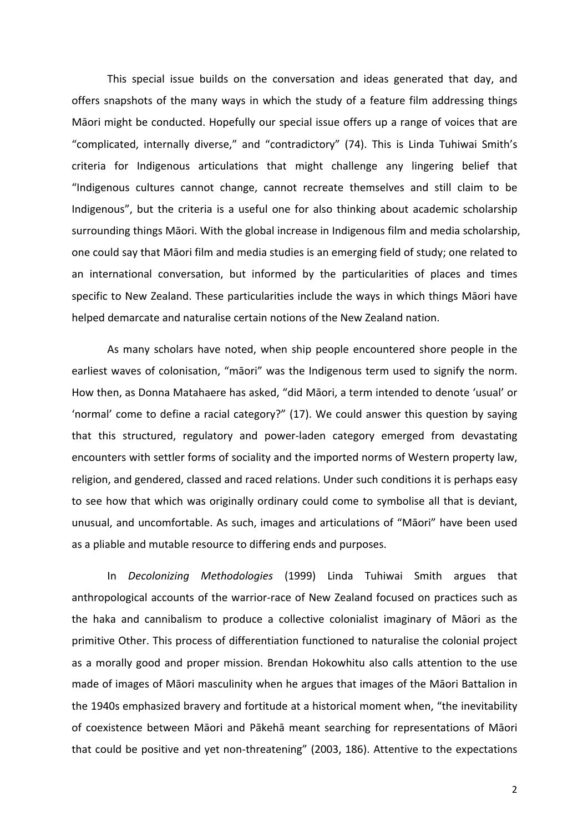This special issue builds on the conversation and ideas generated that day, and offers snapshots of the many ways in which the study of a feature film addressing things Māori might be conducted. Hopefully our special issue offers up a range of voices that are "complicated, internally diverse," and "contradictory" (74). This is Linda Tuhiwai Smith's criteria for Indigenous articulations that might challenge any lingering belief that "Indigenous cultures cannot change, cannot recreate themselves and still claim to be Indigenous", but the criteria is a useful one for also thinking about academic scholarship surrounding things Māori. With the global increase in Indigenous film and media scholarship, one could say that Māori film and media studies is an emerging field of study; one related to an international conversation, but informed by the particularities of places and times specific to New Zealand. These particularities include the ways in which things Māori have helped demarcate and naturalise certain notions of the New Zealand nation.

As many scholars have noted, when ship people encountered shore people in the earliest waves of colonisation, "māori" was the Indigenous term used to signify the norm. How then, as Donna Matahaere has asked, "did Māori, a term intended to denote 'usual' or 'normal' come to define a racial category?" (17). We could answer this question by saying that this structured, regulatory and power-laden category emerged from devastating encounters with settler forms of sociality and the imported norms of Western property law, religion, and gendered, classed and raced relations. Under such conditions it is perhaps easy to see how that which was originally ordinary could come to symbolise all that is deviant, unusual, and uncomfortable. As such, images and articulations of "Māori" have been used as a pliable and mutable resource to differing ends and purposes.

In *Decolonizing Methodologies* (1999) Linda Tuhiwai Smith argues that anthropological accounts of the warrior-race of New Zealand focused on practices such as the haka and cannibalism to produce a collective colonialist imaginary of Maori as the primitive Other. This process of differentiation functioned to naturalise the colonial project as a morally good and proper mission. Brendan Hokowhitu also calls attention to the use made of images of Māori masculinity when he argues that images of the Māori Battalion in the 1940s emphasized bravery and fortitude at a historical moment when, "the inevitability of coexistence between Māori and Pākehā meant searching for representations of Māori that could be positive and yet non-threatening" (2003, 186). Attentive to the expectations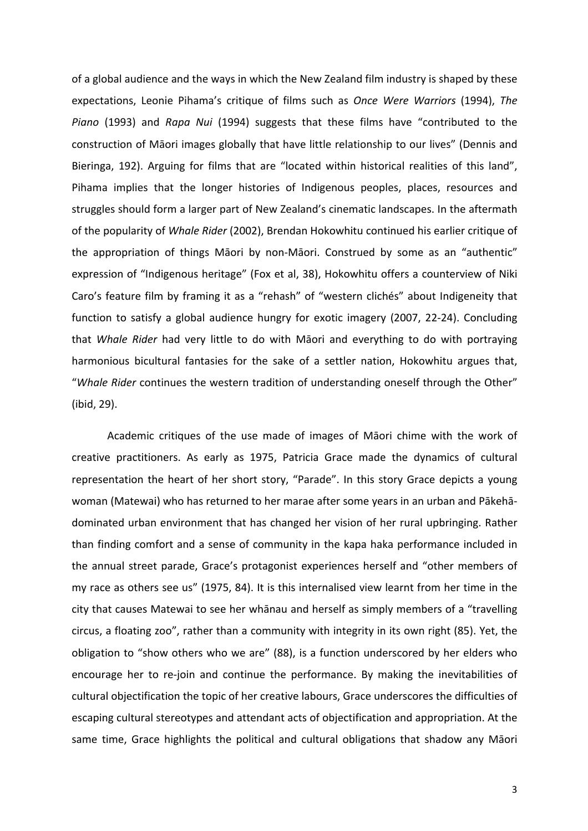of a global audience and the ways in which the New Zealand film industry is shaped by these expectations, Leonie Pihama's critique of films such as Once Were Warriors (1994), The *Piano* (1993) and *Rapa Nui* (1994) suggests that these films have "contributed to the construction of Māori images globally that have little relationship to our lives" (Dennis and Bieringa, 192). Arguing for films that are "located within historical realities of this land", Pihama implies that the longer histories of Indigenous peoples, places, resources and struggles should form a larger part of New Zealand's cinematic landscapes. In the aftermath of the popularity of *Whale Rider* (2002), Brendan Hokowhitu continued his earlier critique of the appropriation of things Māori by non-Māori. Construed by some as an "authentic" expression of "Indigenous heritage" (Fox et al, 38), Hokowhitu offers a counterview of Niki Caro's feature film by framing it as a "rehash" of "western clichés" about Indigeneity that function to satisfy a global audience hungry for exotic imagery (2007, 22-24). Concluding that *Whale Rider* had very little to do with Māori and everything to do with portraying harmonious bicultural fantasies for the sake of a settler nation, Hokowhitu argues that, "Whale Rider continues the western tradition of understanding oneself through the Other" (ibid, 29).

Academic critiques of the use made of images of Māori chime with the work of creative practitioners. As early as 1975, Patricia Grace made the dynamics of cultural representation the heart of her short story, "Parade". In this story Grace depicts a young woman (Matewai) who has returned to her marae after some years in an urban and Pākehādominated urban environment that has changed her vision of her rural upbringing. Rather than finding comfort and a sense of community in the kapa haka performance included in the annual street parade, Grace's protagonist experiences herself and "other members of my race as others see us" (1975, 84). It is this internalised view learnt from her time in the city that causes Matewai to see her whānau and herself as simply members of a "travelling circus, a floating zoo", rather than a community with integrity in its own right (85). Yet, the obligation to "show others who we are" (88), is a function underscored by her elders who encourage her to re-join and continue the performance. By making the inevitabilities of cultural objectification the topic of her creative labours, Grace underscores the difficulties of escaping cultural stereotypes and attendant acts of objectification and appropriation. At the same time, Grace highlights the political and cultural obligations that shadow any Māori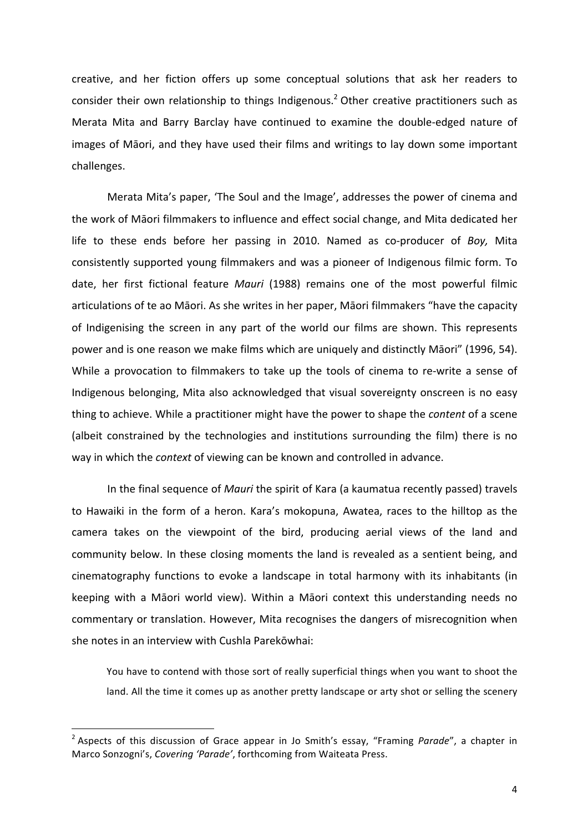creative, and her fiction offers up some conceptual solutions that ask her readers to consider their own relationship to things Indigenous.<sup>2</sup> Other creative practitioners such as Merata Mita and Barry Barclay have continued to examine the double-edged nature of images of Māori, and they have used their films and writings to lay down some important challenges.

Merata Mita's paper, 'The Soul and the Image', addresses the power of cinema and the work of Māori filmmakers to influence and effect social change, and Mita dedicated her life to these ends before her passing in 2010. Named as co-producer of *Boy*, Mita consistently supported young filmmakers and was a pioneer of Indigenous filmic form. To date, her first fictional feature *Mauri* (1988) remains one of the most powerful filmic articulations of te ao Māori. As she writes in her paper, Māori filmmakers "have the capacity of Indigenising the screen in any part of the world our films are shown. This represents power and is one reason we make films which are uniquely and distinctly Māori" (1996, 54). While a provocation to filmmakers to take up the tools of cinema to re-write a sense of Indigenous belonging, Mita also acknowledged that visual sovereignty onscreen is no easy thing to achieve. While a practitioner might have the power to shape the *content* of a scene (albeit constrained by the technologies and institutions surrounding the film) there is no way in which the *context* of viewing can be known and controlled in advance.

In the final sequence of *Mauri* the spirit of Kara (a kaumatua recently passed) travels to Hawaiki in the form of a heron. Kara's mokopuna, Awatea, races to the hilltop as the camera takes on the viewpoint of the bird, producing aerial views of the land and community below. In these closing moments the land is revealed as a sentient being, and cinematography functions to evoke a landscape in total harmony with its inhabitants (in keeping with a Māori world view). Within a Māori context this understanding needs no commentary or translation. However, Mita recognises the dangers of misrecognition when she notes in an interview with Cushla Parekōwhai:

You have to contend with those sort of really superficial things when you want to shoot the land. All the time it comes up as another pretty landscape or arty shot or selling the scenery

<sup>&</sup>lt;sup>2</sup> Aspects of this discussion of Grace appear in Jo Smith's essay, "Framing *Parade"*, a chapter in Marco Sonzogni's, Covering 'Parade', forthcoming from Waiteata Press.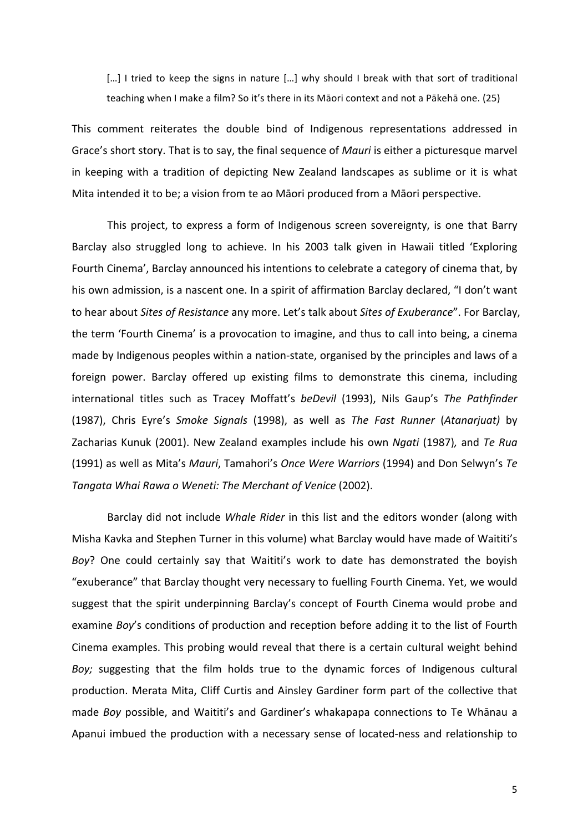[...] I tried to keep the signs in nature [...] why should I break with that sort of traditional teaching when I make a film? So it's there in its Māori context and not a Pākehā one. (25)

This comment reiterates the double bind of Indigenous representations addressed in Grace's short story. That is to say, the final sequence of *Mauri* is either a picturesque marvel in keeping with a tradition of depicting New Zealand landscapes as sublime or it is what Mita intended it to be; a vision from te ao Māori produced from a Māori perspective.

This project, to express a form of Indigenous screen sovereignty, is one that Barry Barclay also struggled long to achieve. In his 2003 talk given in Hawaii titled 'Exploring Fourth Cinema', Barclay announced his intentions to celebrate a category of cinema that, by his own admission, is a nascent one. In a spirit of affirmation Barclay declared, "I don't want to hear about *Sites of Resistance* any more. Let's talk about *Sites of Exuberance*". For Barclay, the term 'Fourth Cinema' is a provocation to imagine, and thus to call into being, a cinema made by Indigenous peoples within a nation-state, organised by the principles and laws of a foreign power. Barclay offered up existing films to demonstrate this cinema, including international titles such as Tracey Moffatt's *beDevil* (1993), Nils Gaup's *The Pathfinder* (1987), Chris Eyre's *Smoke Signals* (1998), as well as *The Fast Runner* (*Atanarjuat)* by Zacharias Kunuk (2001). New Zealand examples include his own *Ngati* (1987)*,* and *Te Rua* (1991) as well as Mita's *Mauri*, Tamahori's *Once Were Warriors* (1994) and Don Selwyn's Te *Tangata Whai Rawa o Weneti: The Merchant of Venice* (2002).

Barclay did not include *Whale Rider* in this list and the editors wonder (along with Misha Kavka and Stephen Turner in this volume) what Barclay would have made of Waititi's *Boy*? One could certainly say that Waititi's work to date has demonstrated the boyish "exuberance" that Barclay thought very necessary to fuelling Fourth Cinema. Yet, we would suggest that the spirit underpinning Barclay's concept of Fourth Cinema would probe and examine *Boy's* conditions of production and reception before adding it to the list of Fourth Cinema examples. This probing would reveal that there is a certain cultural weight behind *Boy;* suggesting that the film holds true to the dynamic forces of Indigenous cultural production. Merata Mita, Cliff Curtis and Ainsley Gardiner form part of the collective that made *Boy* possible, and Waititi's and Gardiner's whakapapa connections to Te Whānau a Apanui imbued the production with a necessary sense of located-ness and relationship to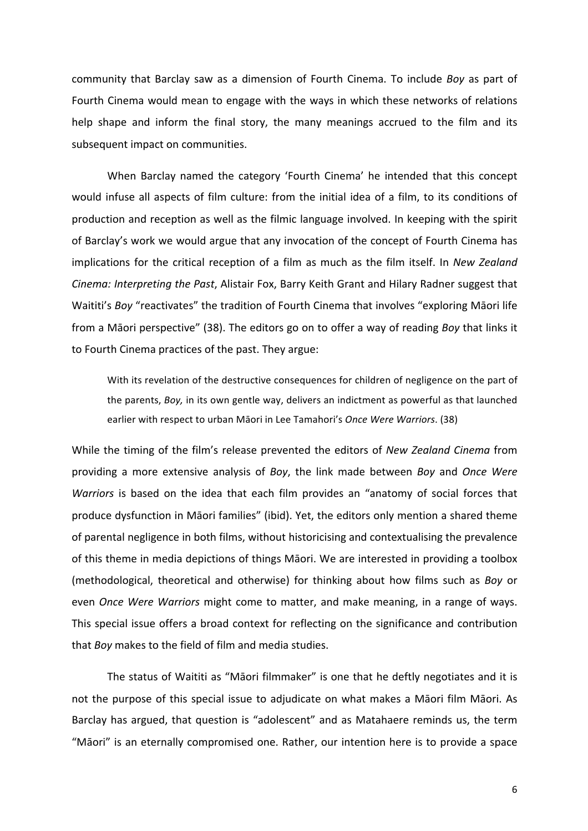community that Barclay saw as a dimension of Fourth Cinema. To include *Boy* as part of Fourth Cinema would mean to engage with the ways in which these networks of relations help shape and inform the final story, the many meanings accrued to the film and its subsequent impact on communities.

When Barclay named the category 'Fourth Cinema' he intended that this concept would infuse all aspects of film culture: from the initial idea of a film, to its conditions of production and reception as well as the filmic language involved. In keeping with the spirit of Barclay's work we would argue that any invocation of the concept of Fourth Cinema has implications for the critical reception of a film as much as the film itself. In *New Zealand Cinema: Interpreting the Past, Alistair Fox, Barry Keith Grant and Hilary Radner suggest that* Waititi's *Boy* "reactivates" the tradition of Fourth Cinema that involves "exploring Māori life from a Māori perspective" (38). The editors go on to offer a way of reading *Boy* that links it to Fourth Cinema practices of the past. They argue:

With its revelation of the destructive consequences for children of negligence on the part of the parents, *Boy*, in its own gentle way, delivers an indictment as powerful as that launched earlier with respect to urban Māori in Lee Tamahori's Once Were Warriors. (38)

While the timing of the film's release prevented the editors of *New Zealand Cinema* from providing a more extensive analysis of *Boy*, the link made between *Boy* and *Once Were Warriors* is based on the idea that each film provides an "anatomy of social forces that produce dysfunction in Māori families" (ibid). Yet, the editors only mention a shared theme of parental negligence in both films, without historicising and contextualising the prevalence of this theme in media depictions of things Māori. We are interested in providing a toolbox (methodological, theoretical and otherwise) for thinking about how films such as *Boy* or even *Once Were Warriors* might come to matter, and make meaning, in a range of ways. This special issue offers a broad context for reflecting on the significance and contribution that *Boy* makes to the field of film and media studies.

The status of Waititi as "Māori filmmaker" is one that he deftly negotiates and it is not the purpose of this special issue to adiudicate on what makes a Māori film Māori. As Barclay has argued, that question is "adolescent" and as Matahaere reminds us, the term "Māori" is an eternally compromised one. Rather, our intention here is to provide a space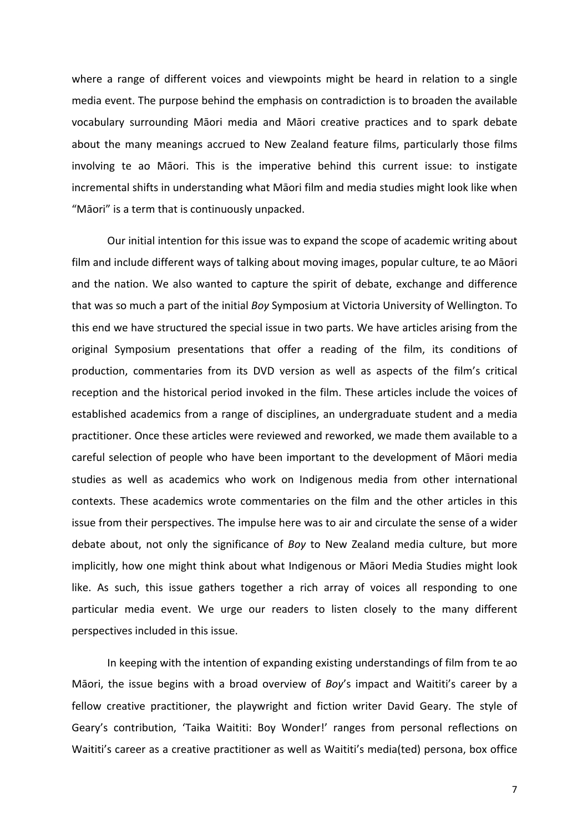where a range of different voices and viewpoints might be heard in relation to a single media event. The purpose behind the emphasis on contradiction is to broaden the available vocabulary surrounding Māori media and Māori creative practices and to spark debate about the many meanings accrued to New Zealand feature films, particularly those films involving te ao Māori. This is the imperative behind this current issue: to instigate incremental shifts in understanding what Māori film and media studies might look like when "Māori" is a term that is continuously unpacked.

Our initial intention for this issue was to expand the scope of academic writing about film and include different ways of talking about moving images, popular culture, te ao Māori and the nation. We also wanted to capture the spirit of debate, exchange and difference that was so much a part of the initial *Boy* Symposium at Victoria University of Wellington. To this end we have structured the special issue in two parts. We have articles arising from the original Symposium presentations that offer a reading of the film, its conditions of production, commentaries from its DVD version as well as aspects of the film's critical reception and the historical period invoked in the film. These articles include the voices of established academics from a range of disciplines, an undergraduate student and a media practitioner. Once these articles were reviewed and reworked, we made them available to a careful selection of people who have been important to the development of Māori media studies as well as academics who work on Indigenous media from other international contexts. These academics wrote commentaries on the film and the other articles in this issue from their perspectives. The impulse here was to air and circulate the sense of a wider debate about, not only the significance of *Boy* to New Zealand media culture, but more implicitly, how one might think about what Indigenous or Māori Media Studies might look like. As such, this issue gathers together a rich array of voices all responding to one particular media event. We urge our readers to listen closely to the many different perspectives included in this issue.

In keeping with the intention of expanding existing understandings of film from te ao Māori, the issue begins with a broad overview of *Boy's* impact and Waititi's career by a fellow creative practitioner, the playwright and fiction writer David Geary. The style of Geary's contribution, 'Taika Waititi: Boy Wonder!' ranges from personal reflections on Waititi's career as a creative practitioner as well as Waititi's media(ted) persona, box office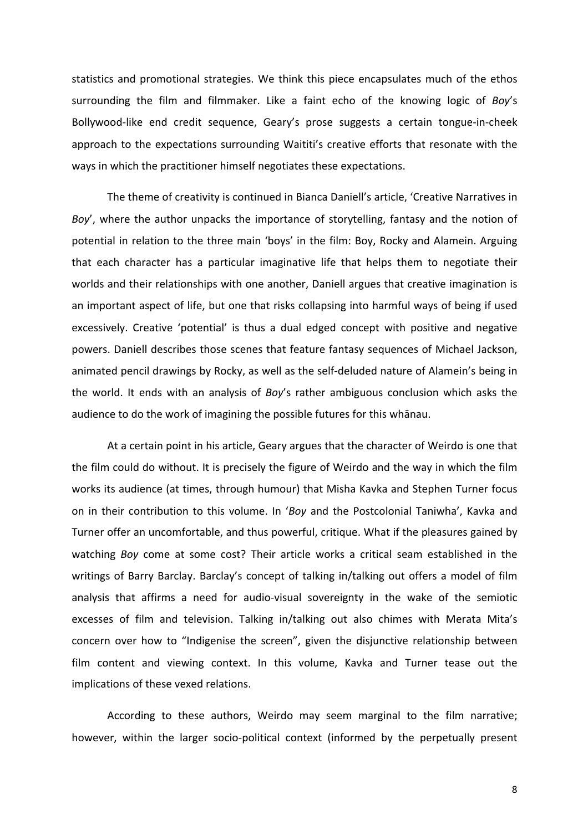statistics and promotional strategies. We think this piece encapsulates much of the ethos surrounding the film and filmmaker. Like a faint echo of the knowing logic of *Boy's* Bollywood-like end credit sequence, Geary's prose suggests a certain tongue-in-cheek approach to the expectations surrounding Waititi's creative efforts that resonate with the ways in which the practitioner himself negotiates these expectations.

The theme of creativity is continued in Bianca Daniell's article, 'Creative Narratives in *Boy'*, where the author unpacks the importance of storytelling, fantasy and the notion of potential in relation to the three main 'boys' in the film: Boy, Rocky and Alamein. Arguing that each character has a particular imaginative life that helps them to negotiate their worlds and their relationships with one another, Daniell argues that creative imagination is an important aspect of life, but one that risks collapsing into harmful ways of being if used excessively. Creative 'potential' is thus a dual edged concept with positive and negative powers. Daniell describes those scenes that feature fantasy sequences of Michael Jackson, animated pencil drawings by Rocky, as well as the self-deluded nature of Alamein's being in the world. It ends with an analysis of *Boy's* rather ambiguous conclusion which asks the audience to do the work of imagining the possible futures for this whānau.

At a certain point in his article, Geary argues that the character of Weirdo is one that the film could do without. It is precisely the figure of Weirdo and the way in which the film works its audience (at times, through humour) that Misha Kavka and Stephen Turner focus on in their contribution to this volume. In 'Boy and the Postcolonial Taniwha', Kavka and Turner offer an uncomfortable, and thus powerful, critique. What if the pleasures gained by watching *Boy* come at some cost? Their article works a critical seam established in the writings of Barry Barclay. Barclay's concept of talking in/talking out offers a model of film analysis that affirms a need for audio-visual sovereignty in the wake of the semiotic excesses of film and television. Talking in/talking out also chimes with Merata Mita's concern over how to "Indigenise the screen", given the disjunctive relationship between film content and viewing context. In this volume, Kavka and Turner tease out the implications of these vexed relations.

According to these authors, Weirdo may seem marginal to the film narrative; however, within the larger socio-political context (informed by the perpetually present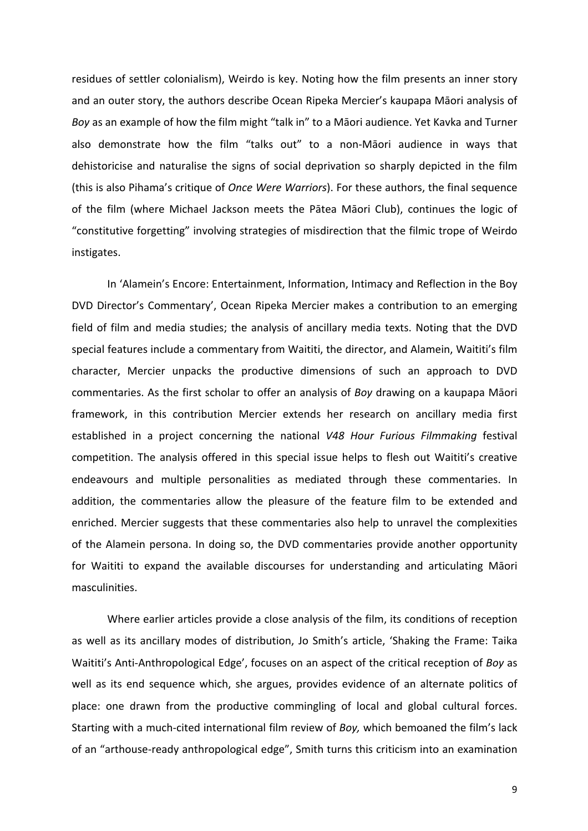residues of settler colonialism), Weirdo is key. Noting how the film presents an inner story and an outer story, the authors describe Ocean Ripeka Mercier's kaupapa Māori analysis of Boy as an example of how the film might "talk in" to a Māori audience. Yet Kavka and Turner also demonstrate how the film "talks out" to a non-Māori audience in ways that dehistoricise and naturalise the signs of social deprivation so sharply depicted in the film (this is also Pihama's critique of *Once Were Warriors*). For these authors, the final sequence of the film (where Michael Jackson meets the Pātea Māori Club), continues the logic of "constitutive forgetting" involving strategies of misdirection that the filmic trope of Weirdo instigates.

In 'Alamein's Encore: Entertainment, Information, Intimacy and Reflection in the Boy DVD Director's Commentary', Ocean Ripeka Mercier makes a contribution to an emerging field of film and media studies; the analysis of ancillary media texts. Noting that the DVD special features include a commentary from Waititi, the director, and Alamein, Waititi's film character, Mercier unpacks the productive dimensions of such an approach to DVD commentaries. As the first scholar to offer an analysis of *Boy* drawing on a kaupapa Māori framework, in this contribution Mercier extends her research on ancillary media first established in a project concerning the national V48 Hour Furious Filmmaking festival competition. The analysis offered in this special issue helps to flesh out Waititi's creative endeavours and multiple personalities as mediated through these commentaries. In addition, the commentaries allow the pleasure of the feature film to be extended and enriched. Mercier suggests that these commentaries also help to unravel the complexities of the Alamein persona. In doing so, the DVD commentaries provide another opportunity for Waititi to expand the available discourses for understanding and articulating Māori masculinities.

Where earlier articles provide a close analysis of the film, its conditions of reception as well as its ancillary modes of distribution, Jo Smith's article, 'Shaking the Frame: Taika Waititi's Anti-Anthropological Edge', focuses on an aspect of the critical reception of *Boy* as well as its end sequence which, she argues, provides evidence of an alternate politics of place: one drawn from the productive commingling of local and global cultural forces. Starting with a much-cited international film review of *Boy*, which bemoaned the film's lack of an "arthouse-ready anthropological edge", Smith turns this criticism into an examination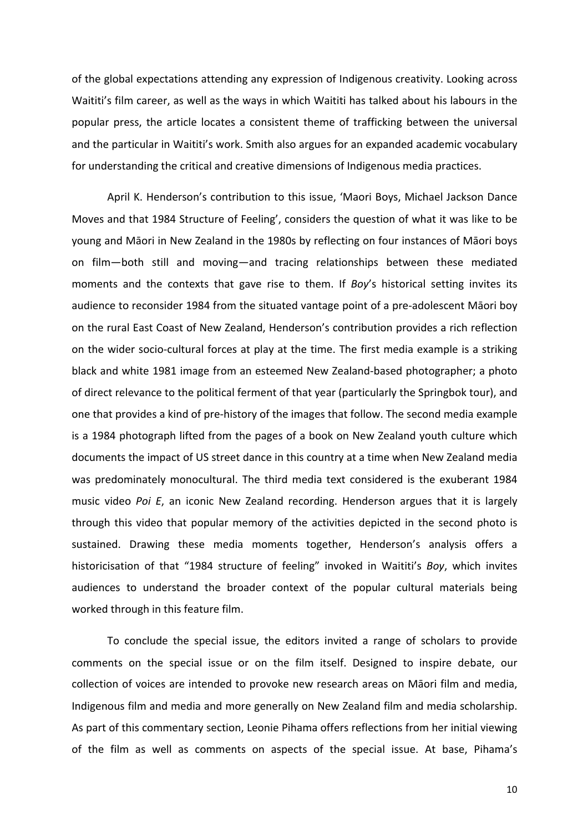of the global expectations attending any expression of Indigenous creativity. Looking across Waititi's film career, as well as the ways in which Waititi has talked about his labours in the popular press, the article locates a consistent theme of trafficking between the universal and the particular in Waititi's work. Smith also argues for an expanded academic vocabulary for understanding the critical and creative dimensions of Indigenous media practices.

April K. Henderson's contribution to this issue, 'Maori Boys, Michael Jackson Dance Moves and that 1984 Structure of Feeling', considers the question of what it was like to be young and Māori in New Zealand in the 1980s by reflecting on four instances of Māori boys on film—both still and moving—and tracing relationships between these mediated moments and the contexts that gave rise to them. If *Boy's* historical setting invites its audience to reconsider 1984 from the situated vantage point of a pre-adolescent Māori boy on the rural East Coast of New Zealand, Henderson's contribution provides a rich reflection on the wider socio-cultural forces at play at the time. The first media example is a striking black and white 1981 image from an esteemed New Zealand-based photographer; a photo of direct relevance to the political ferment of that year (particularly the Springbok tour), and one that provides a kind of pre-history of the images that follow. The second media example is a 1984 photograph lifted from the pages of a book on New Zealand youth culture which documents the impact of US street dance in this country at a time when New Zealand media was predominately monocultural. The third media text considered is the exuberant 1984 music video *Poi E*, an iconic New Zealand recording. Henderson argues that it is largely through this video that popular memory of the activities depicted in the second photo is sustained. Drawing these media moments together, Henderson's analysis offers a historicisation of that "1984 structure of feeling" invoked in Waititi's *Boy*, which invites audiences to understand the broader context of the popular cultural materials being worked through in this feature film.

To conclude the special issue, the editors invited a range of scholars to provide comments on the special issue or on the film itself. Designed to inspire debate, our collection of voices are intended to provoke new research areas on Māori film and media, Indigenous film and media and more generally on New Zealand film and media scholarship. As part of this commentary section, Leonie Pihama offers reflections from her initial viewing of the film as well as comments on aspects of the special issue. At base, Pihama's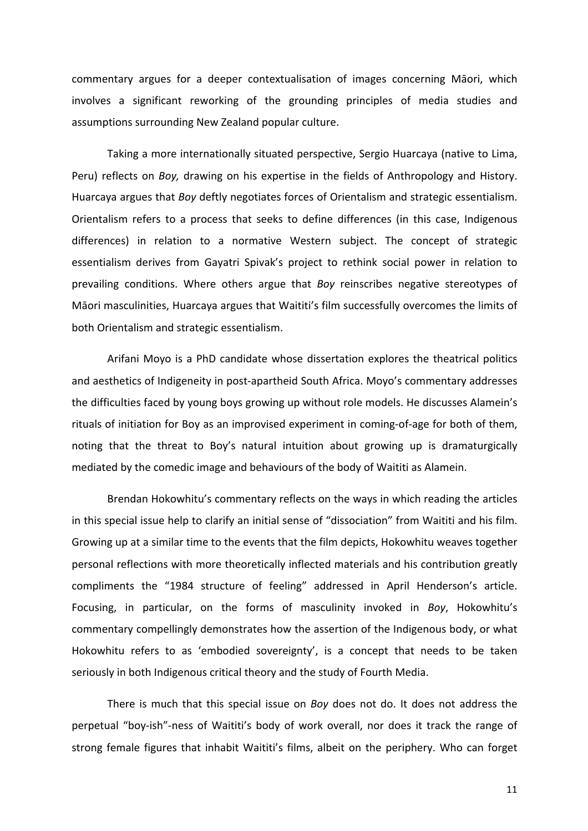commentary argues for a deeper contextualisation of images concerning Maori, which involves a significant reworking of the grounding principles of media studies and assumptions surrounding New Zealand popular culture.

Taking a more internationally situated perspective, Sergio Huarcaya (native to Lima, Peru) reflects on *Boy,* drawing on his expertise in the fields of Anthropology and History. Huarcaya argues that *Boy* deftly negotiates forces of Orientalism and strategic essentialism. Orientalism refers to a process that seeks to define differences (in this case, Indigenous differences) in relation to a normative Western subject. The concept of strategic essentialism derives from Gayatri Spivak's project to rethink social power in relation to prevailing conditions. Where others argue that *Boy* reinscribes negative stereotypes of Māori masculinities, Huarcaya argues that Waititi's film successfully overcomes the limits of both Orientalism and strategic essentialism.

Arifani Moyo is a PhD candidate whose dissertation explores the theatrical politics and aesthetics of Indigeneity in post-apartheid South Africa. Moyo's commentary addresses the difficulties faced by young boys growing up without role models. He discusses Alamein's rituals of initiation for Boy as an improvised experiment in coming-of-age for both of them, noting that the threat to Boy's natural intuition about growing up is dramaturgically mediated by the comedic image and behaviours of the body of Waititi as Alamein.

Brendan Hokowhitu's commentary reflects on the ways in which reading the articles in this special issue help to clarify an initial sense of "dissociation" from Waititi and his film. Growing up at a similar time to the events that the film depicts, Hokowhitu weaves together personal reflections with more theoretically inflected materials and his contribution greatly compliments the "1984 structure of feeling" addressed in April Henderson's article. Focusing, in particular, on the forms of masculinity invoked in *Boy*, Hokowhitu's commentary compellingly demonstrates how the assertion of the Indigenous body, or what Hokowhitu refers to as 'embodied sovereignty', is a concept that needs to be taken seriously in both Indigenous critical theory and the study of Fourth Media.

There is much that this special issue on *Boy* does not do. It does not address the perpetual "boy-ish"-ness of Waititi's body of work overall, nor does it track the range of strong female figures that inhabit Waititi's films, albeit on the periphery. Who can forget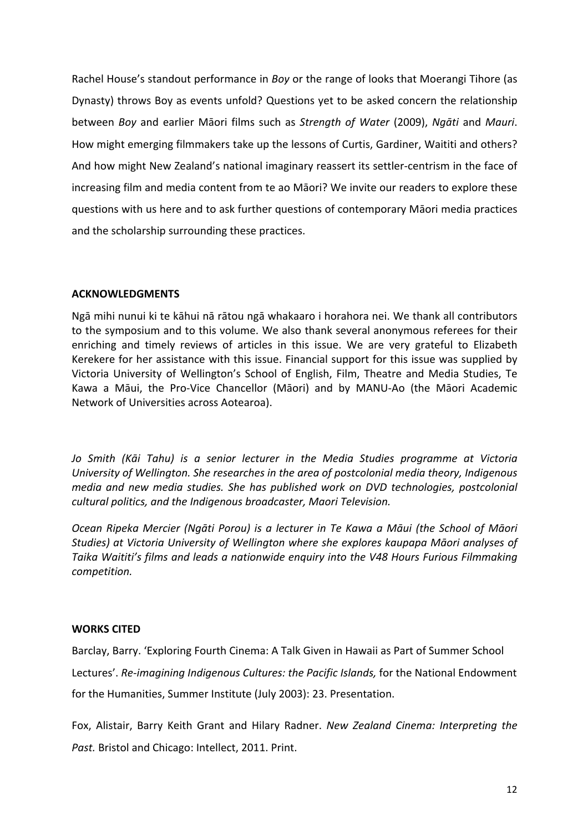Rachel House's standout performance in *Boy* or the range of looks that Moerangi Tihore (as Dynasty) throws Boy as events unfold? Questions yet to be asked concern the relationship between *Boy* and earlier Māori films such as *Strength of Water* (2009), *Ngāti* and *Mauri*. How might emerging filmmakers take up the lessons of Curtis, Gardiner, Waititi and others? And how might New Zealand's national imaginary reassert its settler-centrism in the face of increasing film and media content from te ao Māori? We invite our readers to explore these questions with us here and to ask further questions of contemporary Māori media practices and the scholarship surrounding these practices.

## **ACKNOWLEDGMENTS**

Ngā mihi nunui ki te kāhui nā rātou ngā whakaaro i horahora nei. We thank all contributors to the symposium and to this volume. We also thank several anonymous referees for their enriching and timely reviews of articles in this issue. We are very grateful to Elizabeth Kerekere for her assistance with this issue. Financial support for this issue was supplied by Victoria University of Wellington's School of English, Film, Theatre and Media Studies, Te Kawa a Māui, the Pro-Vice Chancellor (Māori) and by MANU-Ao (the Māori Academic Network of Universities across Aotearoa).

Jo Smith (Kāi Tahu) is a senior lecturer in the Media Studies programme at Victoria *University of Wellington. She researches in the area of postcolonial media theory, Indigenous media* and new media studies. She has published work on DVD technologies, postcolonial *cultural politics, and the Indigenous broadcaster, Maori Television.*

*Ocean Ripeka Mercier (Ngāti Porou) is a lecturer in Te Kawa a Māui (the School of Māori Studies) at Victoria University of Wellington where she explores kaupapa Māori analyses of*  Taika Waititi's films and leads a nationwide enquiry into the V48 Hours Furious Filmmaking *competition.*

## **WORKS CITED**

Barclay, Barry. 'Exploring Fourth Cinema: A Talk Given in Hawaii as Part of Summer School Lectures'. Re-imagining Indigenous Cultures: the Pacific Islands, for the National Endowment for the Humanities, Summer Institute (July 2003): 23. Presentation.

Fox, Alistair, Barry Keith Grant and Hilary Radner. *New Zealand Cinema: Interpreting the* Past. Bristol and Chicago: Intellect, 2011. Print.